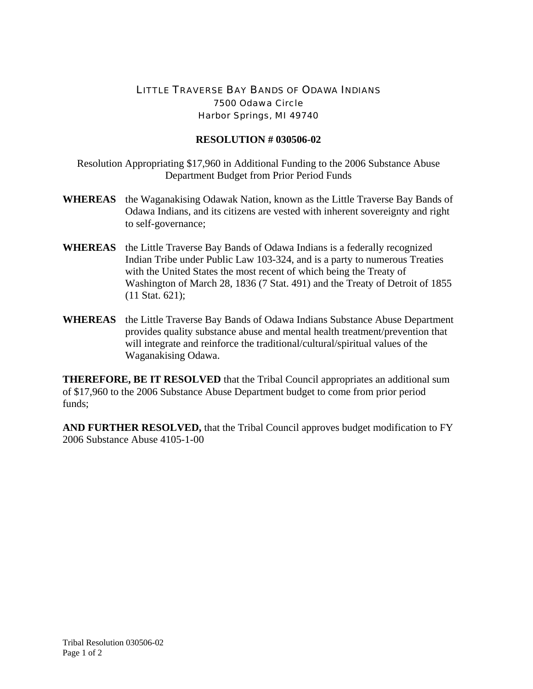## LITTLE TRAVERSE BAY BANDS OF ODAWA INDIANS 7500 Odawa Circle Harbor Springs, MI 49740

## **RESOLUTION # 030506-02**

Resolution Appropriating \$17,960 in Additional Funding to the 2006 Substance Abuse Department Budget from Prior Period Funds

- **WHEREAS** the Waganakising Odawak Nation, known as the Little Traverse Bay Bands of Odawa Indians, and its citizens are vested with inherent sovereignty and right to self-governance;
- **WHEREAS** the Little Traverse Bay Bands of Odawa Indians is a federally recognized Indian Tribe under Public Law 103-324, and is a party to numerous Treaties with the United States the most recent of which being the Treaty of Washington of March 28, 1836 (7 Stat. 491) and the Treaty of Detroit of 1855 (11 Stat. 621);
- **WHEREAS** the Little Traverse Bay Bands of Odawa Indians Substance Abuse Department provides quality substance abuse and mental health treatment/prevention that will integrate and reinforce the traditional/cultural/spiritual values of the Waganakising Odawa.

**THEREFORE, BE IT RESOLVED** that the Tribal Council appropriates an additional sum of \$17,960 to the 2006 Substance Abuse Department budget to come from prior period funds;

**AND FURTHER RESOLVED,** that the Tribal Council approves budget modification to FY 2006 Substance Abuse 4105-1-00